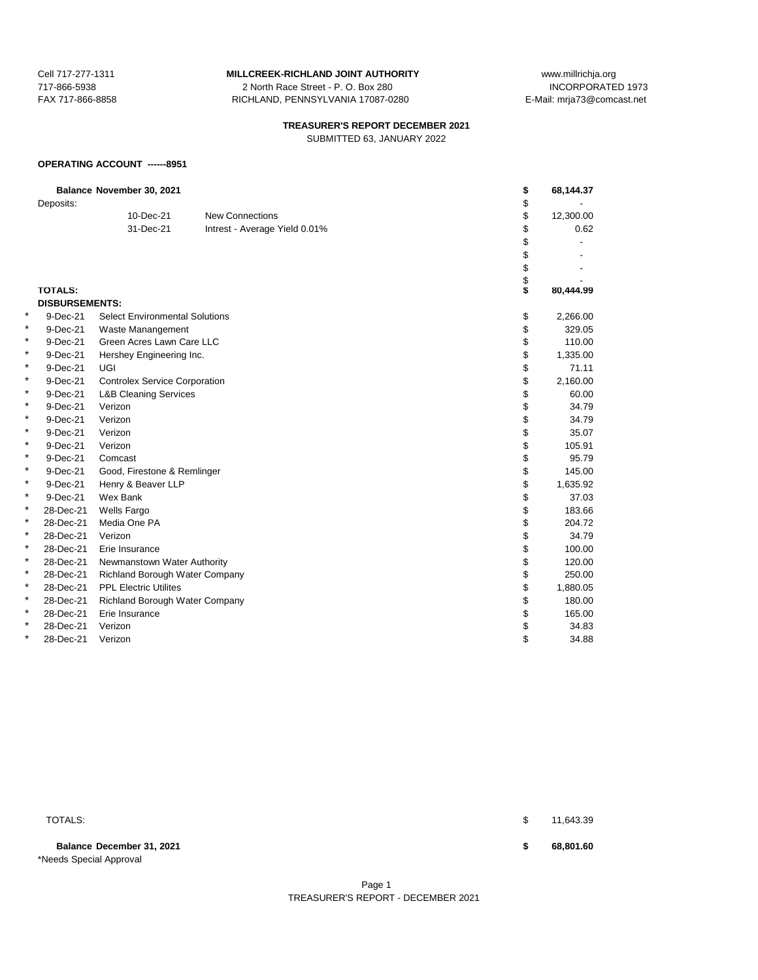#### Cell 717-277-1311 **MILLCREEK-RICHLAND JOINT AUTHORITY** www.millrichja.org

717-866-5938 2 North Race Street - P. O. Box 280 INCORPORATED 1973 FAX 717-866-8858 RICHLAND, PENNSYLVANIA 17087-0280 E-Mail: mrja73@comcast.net

# **TREASURER'S REPORT DECEMBER 2021**

SUBMITTED 63, JANUARY 2022

#### **OPERATING ACCOUNT ------8951**

|   | Deposits:             | Balance November 30, 2021             |                               | \$<br>\$ | 68,144.37 |
|---|-----------------------|---------------------------------------|-------------------------------|----------|-----------|
|   |                       | 10-Dec-21                             | <b>New Connections</b>        | \$       | 12,300.00 |
|   |                       | 31-Dec-21                             | Intrest - Average Yield 0.01% | \$       | 0.62      |
|   |                       |                                       |                               | \$       |           |
|   |                       |                                       |                               | \$       |           |
|   |                       |                                       |                               | \$       |           |
|   |                       |                                       |                               | \$       |           |
|   | <b>TOTALS:</b>        |                                       |                               | Ś        | 80,444.99 |
|   | <b>DISBURSEMENTS:</b> |                                       |                               |          |           |
| * | 9-Dec-21              | <b>Select Environmental Solutions</b> |                               | \$       | 2,266.00  |
| * | 9-Dec-21              | Waste Manangement                     |                               | \$       | 329.05    |
| * | 9-Dec-21              | Green Acres Lawn Care LLC             |                               | \$       | 110.00    |
| * | 9-Dec-21              | Hershey Engineering Inc.              |                               | \$       | 1,335.00  |
| * | 9-Dec-21              | UGI                                   |                               | \$       | 71.11     |
| * | 9-Dec-21              | <b>Controlex Service Corporation</b>  |                               | \$       | 2,160.00  |
| * | 9-Dec-21              | <b>L&amp;B Cleaning Services</b>      |                               | \$       | 60.00     |
| * | 9-Dec-21              | Verizon                               |                               | \$       | 34.79     |
| * | 9-Dec-21              | Verizon                               |                               | \$       | 34.79     |
| * | 9-Dec-21              | Verizon                               |                               | \$       | 35.07     |
| * | 9-Dec-21              | Verizon                               |                               | \$       | 105.91    |
| * | 9-Dec-21              | Comcast                               |                               | \$       | 95.79     |
| * | 9-Dec-21              | Good, Firestone & Remlinger           |                               | \$       | 145.00    |
| * | 9-Dec-21              | Henry & Beaver LLP                    |                               | \$       | 1,635.92  |
| * | 9-Dec-21              | Wex Bank                              |                               | \$       | 37.03     |
| * | 28-Dec-21             | <b>Wells Fargo</b>                    |                               | \$       | 183.66    |
| * | 28-Dec-21             | Media One PA                          |                               | \$       | 204.72    |
| * | 28-Dec-21             | Verizon                               |                               | \$       | 34.79     |
| * | 28-Dec-21             | Erie Insurance                        |                               | \$       | 100.00    |
| × | 28-Dec-21             | Newmanstown Water Authority           |                               | \$       | 120.00    |
| * | 28-Dec-21             | Richland Borough Water Company        |                               | \$       | 250.00    |
| * | 28-Dec-21             | <b>PPL Electric Utilites</b>          |                               | \$       | 1,880.05  |
| * | 28-Dec-21             | Richland Borough Water Company        |                               | \$       | 180.00    |
| * | 28-Dec-21             | Erie Insurance                        |                               | \$       | 165.00    |
| * | 28-Dec-21             | Verizon                               |                               | \$       | 34.83     |
| * | 28-Dec-21             | Verizon                               |                               | \$       | 34.88     |

**Balance December 31, 2021 \$ 68,801.60** \*Needs Special Approval

TOTALS: \$ 11,643.39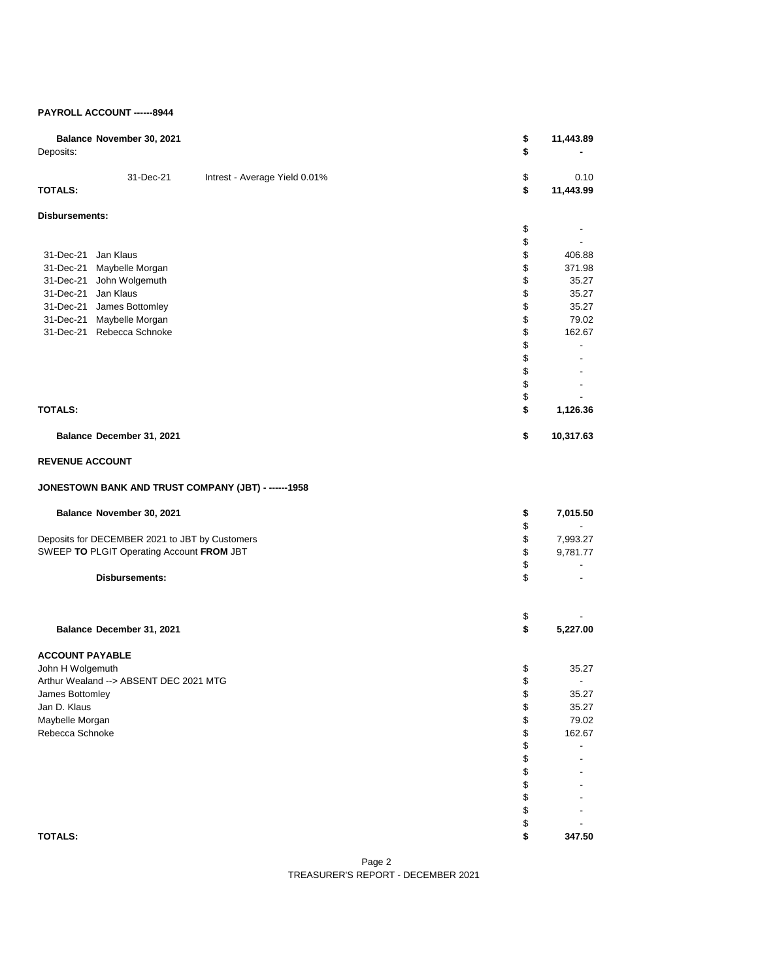#### **PAYROLL ACCOUNT ------8944**

| Balance November 30, 2021<br>Deposits:                       | \$<br>\$ | 11,443.89         |
|--------------------------------------------------------------|----------|-------------------|
| 31-Dec-21<br>Intrest - Average Yield 0.01%<br><b>TOTALS:</b> | \$<br>\$ | 0.10<br>11,443.99 |
| Disbursements:                                               |          |                   |
|                                                              | \$       |                   |
| 31-Dec-21 Jan Klaus                                          | \$       |                   |
| 31-Dec-21 Maybelle Morgan                                    | \$<br>\$ | 406.88<br>371.98  |
| 31-Dec-21 John Wolgemuth                                     | \$       | 35.27             |
| 31-Dec-21 Jan Klaus                                          | \$       | 35.27             |
| 31-Dec-21 James Bottomley                                    | \$       | 35.27             |
| 31-Dec-21 Maybelle Morgan                                    | \$       | 79.02             |
| 31-Dec-21 Rebecca Schnoke                                    | \$       | 162.67            |
|                                                              | \$       |                   |
|                                                              | \$       |                   |
|                                                              | \$<br>\$ |                   |
|                                                              | \$       |                   |
| <b>TOTALS:</b>                                               | \$       | 1,126.36          |
| Balance December 31, 2021                                    | \$       | 10,317.63         |
| <b>REVENUE ACCOUNT</b>                                       |          |                   |
| JONESTOWN BANK AND TRUST COMPANY (JBT) - ------1958          |          |                   |
| Balance November 30, 2021                                    | \$       | 7,015.50          |
|                                                              | \$       |                   |
| Deposits for DECEMBER 2021 to JBT by Customers               | \$       | 7,993.27          |
| SWEEP TO PLGIT Operating Account FROM JBT                    | \$       | 9,781.77          |
| Disbursements:                                               | \$<br>\$ |                   |
|                                                              |          |                   |
|                                                              | \$       |                   |
| Balance December 31, 2021                                    | \$       | 5,227.00          |
| <b>ACCOUNT PAYABLE</b>                                       |          |                   |
| John H Wolgemuth                                             | \$       | 35.27             |
| Arthur Wealand --> ABSENT DEC 2021 MTG                       | \$       |                   |
| James Bottomley                                              | \$       | 35.27             |
| Jan D. Klaus                                                 | \$       | 35.27<br>79.02    |
| Maybelle Morgan<br>Rebecca Schnoke                           | \$<br>\$ | 162.67            |
|                                                              | \$       |                   |
|                                                              | \$       |                   |
|                                                              | \$       |                   |
|                                                              | \$       |                   |
|                                                              | \$       |                   |
|                                                              | \$       |                   |
| <b>TOTALS:</b>                                               | \$<br>\$ | 347.50            |

Page 2 TREASURER'S REPORT - DECEMBER 2021